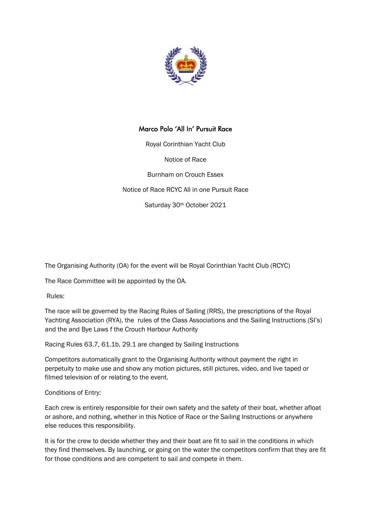

## Marco Polo 'All In' Pursuit Race

Royal Corinthian Yacht Club

Notice of Race

Burnham on Crouch Essex

Notice of Race RCYC All in one Pursuit Race

Saturday 30th October 2021

The Organising Authority (OA) for the event will be Royal Corinthian Yacht Club (RCYC)

The Race Committee will be appointed by the OA.

Rules:

The race will be governed by the Racing Rules of Sailing (RRS), the prescriptions of the Royal Yachting Association (RYA), the rules of the Class Associations and the Sailing Instructions (SI's) and the and Bye Laws f the Crouch Harbour Authority

Racing Rules 63.7, 61.1b, 29.1 are changed by Sailing Instructions

Competitors automatically grant to the Organising Authority without payment the right in perpetuity to make use and show any motion pictures, still pictures, video, and live taped or filmed television of or relating to the event.

Conditions of Entry:

Each crew is entirely responsible for their own safety and the safety of their boat, whether afloat or ashore, and nothing, whether in this Notice of Race or the Sailing Instructions or anywhere else reduces this responsibility.

It is for the crew to decide whether they and their boat are fit to sail in the conditions in which they find themselves. By launching, or going on the water the competitors confirm that they are fit for those conditions and are competent to sail and compete in them.